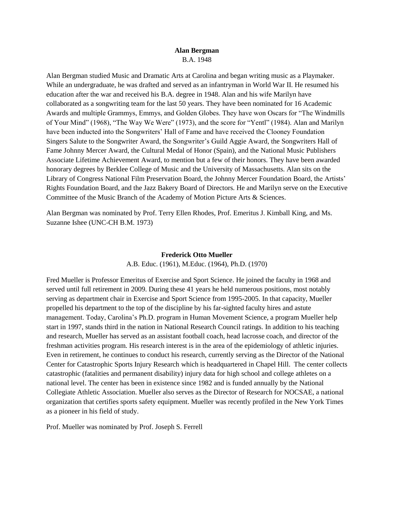## **Alan Bergman** B.A. 1948

Alan Bergman studied Music and Dramatic Arts at Carolina and began writing music as a Playmaker. While an undergraduate, he was drafted and served as an infantryman in World War II. He resumed his education after the war and received his B.A. degree in 1948. Alan and his wife Marilyn have collaborated as a songwriting team for the last 50 years. They have been nominated for 16 Academic Awards and multiple Grammys, Emmys, and Golden Globes. They have won Oscars for "The Windmills of Your Mind" (1968), "The Way We Were" (1973), and the score for "Yentl" (1984). Alan and Marilyn have been inducted into the Songwriters' Hall of Fame and have received the Clooney Foundation Singers Salute to the Songwriter Award, the Songwriter's Guild Aggie Award, the Songwriters Hall of Fame Johnny Mercer Award, the Cultural Medal of Honor (Spain), and the National Music Publishers Associate Lifetime Achievement Award, to mention but a few of their honors. They have been awarded honorary degrees by Berklee College of Music and the University of Massachusetts. Alan sits on the Library of Congress National Film Preservation Board, the Johnny Mercer Foundation Board, the Artists' Rights Foundation Board, and the Jazz Bakery Board of Directors. He and Marilyn serve on the Executive Committee of the Music Branch of the Academy of Motion Picture Arts & Sciences.

Alan Bergman was nominated by Prof. Terry Ellen Rhodes, Prof. Emeritus J. Kimball King, and Ms. Suzanne Ishee (UNC-CH B.M. 1973)

#### **Frederick Otto Mueller**

A.B. Educ. (1961), M.Educ. (1964), Ph.D. (1970)

Fred Mueller is Professor Emeritus of Exercise and Sport Science. He joined the faculty in 1968 and served until full retirement in 2009. During these 41 years he held numerous positions, most notably serving as department chair in Exercise and Sport Science from 1995-2005. In that capacity, Mueller propelled his department to the top of the discipline by his far-sighted faculty hires and astute management. Today, Carolina's Ph.D. program in Human Movement Science, a program Mueller help start in 1997, stands third in the nation in National Research Council ratings. In addition to his teaching and research, Mueller has served as an assistant football coach, head lacrosse coach, and director of the freshman activities program. His research interest is in the area of the epidemiology of athletic injuries. Even in retirement, he continues to conduct his research, currently serving as the Director of the National Center for Catastrophic Sports Injury Research which is headquartered in Chapel Hill. The center collects catastrophic (fatalities and permanent disability) injury data for high school and college athletes on a national level. The center has been in existence since 1982 and is funded annually by the National Collegiate Athletic Association. Mueller also serves as the Director of Research for NOCSAE, a national organization that certifies sports safety equipment. Mueller was recently profiled in the New York Times as a pioneer in his field of study.

Prof. Mueller was nominated by Prof. Joseph S. Ferrell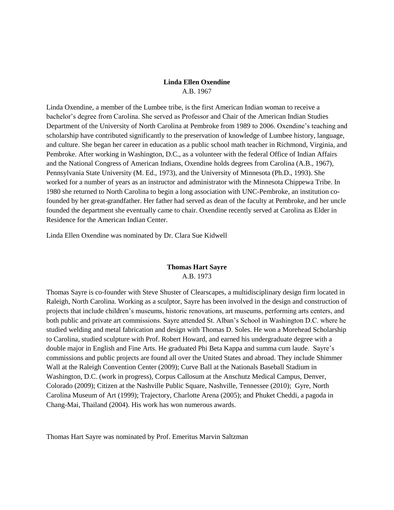# **Linda Ellen Oxendine** A.B. 1967

Linda Oxendine, a member of the Lumbee tribe, is the first American Indian woman to receive a bachelor's degree from Carolina. She served as Professor and Chair of the American Indian Studies Department of the University of North Carolina at Pembroke from 1989 to 2006. Oxendine's teaching and scholarship have contributed significantly to the preservation of knowledge of Lumbee history, language, and culture. She began her career in education as a public school math teacher in Richmond, Virginia, and Pembroke. After working in Washington, D.C., as a volunteer with the federal Office of Indian Affairs and the National Congress of American Indians, Oxendine holds degrees from Carolina (A.B., 1967), Pennsylvania State University (M. Ed., 1973), and the University of Minnesota (Ph.D., 1993). She worked for a number of years as an instructor and administrator with the Minnesota Chippewa Tribe. In 1980 she returned to North Carolina to begin a long association with UNC-Pembroke, an institution cofounded by her great-grandfather. Her father had served as dean of the faculty at Pembroke, and her uncle founded the department she eventually came to chair. Oxendine recently served at Carolina as Elder in Residence for the American Indian Center.

Linda Ellen Oxendine was nominated by Dr. Clara Sue Kidwell

# **Thomas Hart Sayre**

A.B. 1973

Thomas Sayre is co-founder with Steve Shuster of Clearscapes, a multidisciplinary design firm located in Raleigh, North Carolina. Working as a sculptor, Sayre has been involved in the design and construction of projects that include children's museums, historic renovations, art museums, performing arts centers, and both public and private art commissions. Sayre attended St. Alban's School in Washington D.C. where he studied welding and metal fabrication and design with Thomas D. Soles. He won a Morehead Scholarship to Carolina, studied sculpture with Prof. Robert Howard, and earned his undergraduate degree with a double major in English and Fine Arts. He graduated Phi Beta Kappa and summa cum laude. Sayre's commissions and public projects are found all over the United States and abroad. They include Shimmer Wall at the Raleigh Convention Center (2009); Curve Ball at the Nationals Baseball Stadium in Washington, D.C. (work in progress), Corpus Callosum at the Anschutz Medical Campus, Denver, Colorado (2009); Citizen at the Nashville Public Square, Nashville, Tennessee (2010); Gyre, North Carolina Museum of Art (1999); Trajectory, Charlotte Arena (2005); and Phuket Cheddi, a pagoda in Chang-Mai, Thailand (2004). His work has won numerous awards.

Thomas Hart Sayre was nominated by Prof. Emeritus Marvin Saltzman